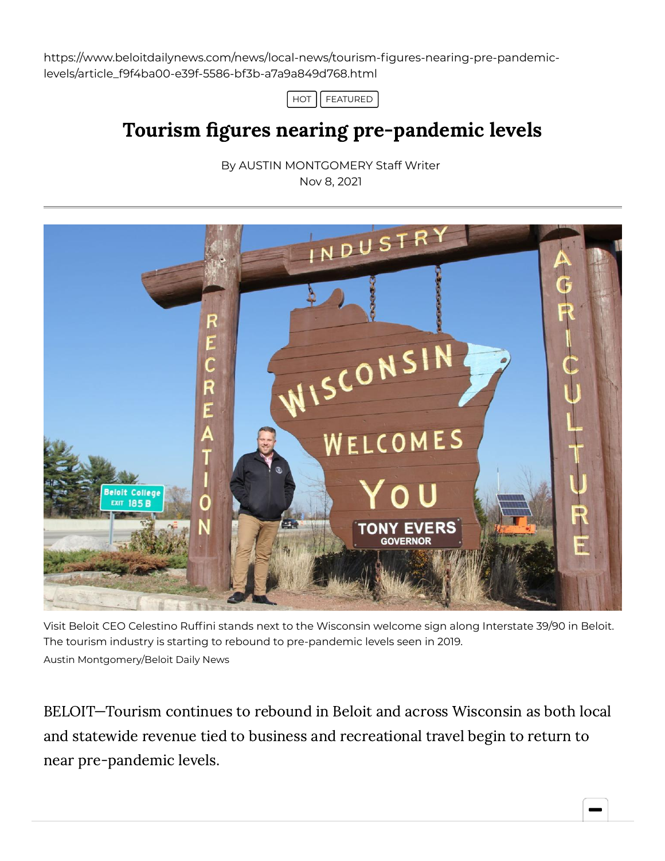https://www.beloitdailynews.com/news/local-news/tourism-figures-nearing-pre-pandemiclevels/article\_f9f4ba00-e39f-5586-bf3b-a7a9a849d768.html



## Tourism figures nearing pre-pandemic levels

By AUSTIN [MONTGOMERY](https://www.beloitdailynews.com/users/profile/amontgomery) Staff Writer Nov 8, 2021



Visit Beloit CEO Celestino Ruffini stands next to the Wisconsin welcome sign along Interstate 39/90 in Beloit. The tourism industry is starting to rebound to pre-pandemic levels seen in 2019. Austin Montgomery/Beloit Daily News

BELOIT—Tourism continues to rebound in Beloit and across Wisconsin as both local and statewide revenue tied to business and recreational travel begin to return to near pre-pandemic levels.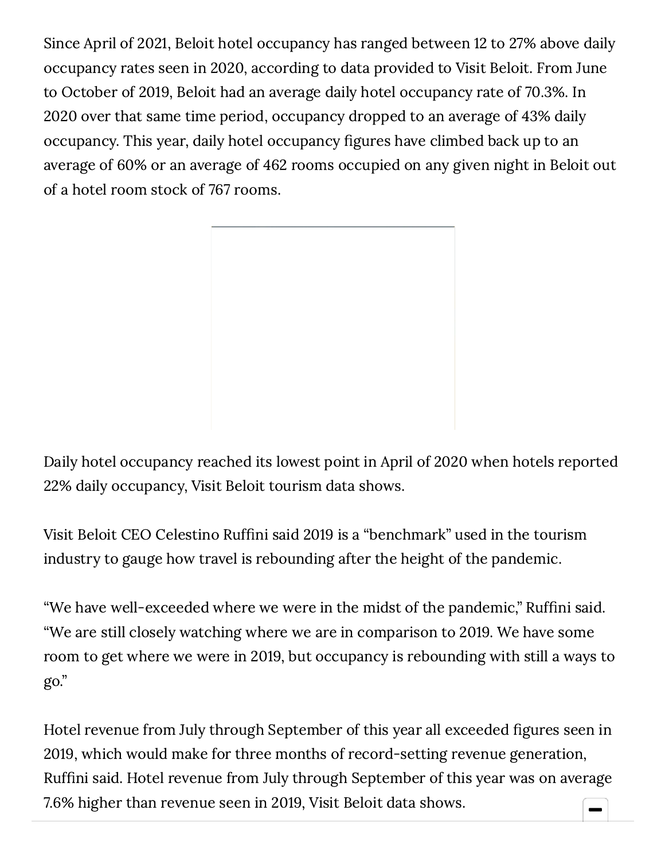Since April of 2021, Beloit hotel occupancy has ranged between 12 to 27% above daily occupancy rates seen in 2020, according to data provided to Visit Beloit. From June to October of 2019, Beloit had an average daily hotel occupancy rate of 70.3%. In 2020 over that same time period, occupancy dropped to an average of 43% daily occupancy. This year, daily hotel occupancy figures have climbed back up to an average of 60% or an average of 462 rooms occupied on any given night in Beloit out of a hotel room stock of 767 rooms.



Daily hotel occupancy reached its lowest point in April of 2020 when hotels reported 22% daily occupancy, Visit Beloit tourism data shows.

Visit Beloit CEO Celestino Ruffini said 2019 is a "benchmark" used in the tourism industry to gauge how travel is rebounding after the height of the pandemic.

"We have well-exceeded where we were in the midst of the pandemic," Ruffini said. "We are still closely watching where we are in comparison to 2019. We have some room to get where we were in 2019, but occupancy is rebounding with still a ways to go."

Hotel revenue from July through September of this year all exceeded figures seen in 2019, which would make for three months of record-setting revenue generation, Ruffini said. Hotel revenue from July through September of this year was on average 7.6% higher than revenue seen in 2019, Visit Beloit data shows.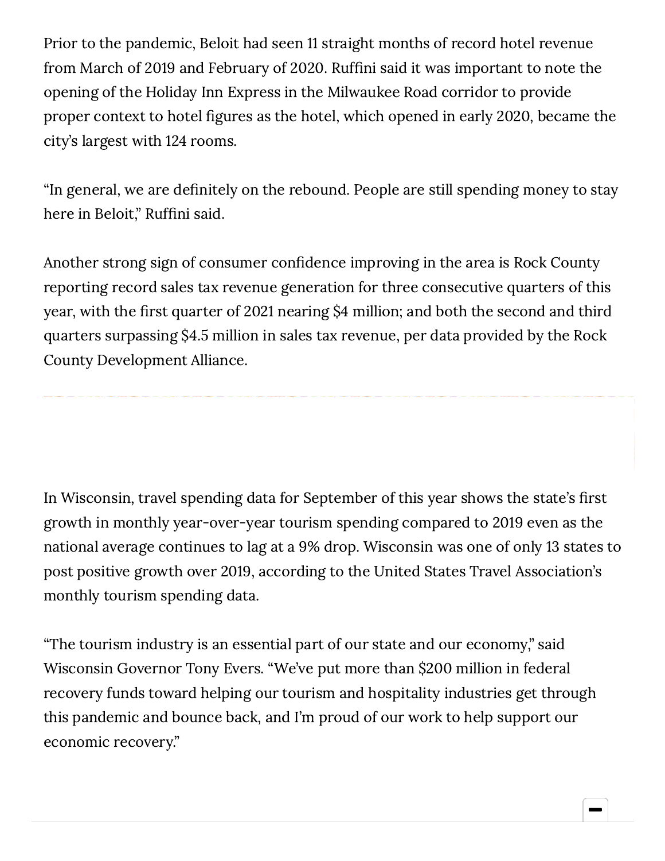Prior to the pandemic, Beloit had seen 11 straight months of record hotel revenue from March of 2019 and February of 2020. Ruffini said it was important to note the opening of the Holiday Inn Express in the Milwaukee Road corridor to provide proper context to hotel figures as the hotel, which opened in early 2020, became the city's largest with 124 rooms.

"In general, we are definitely on the rebound. People are still spending money to stay here in Beloit," Ruffini said.

Another strong sign of consumer confidence improving in the area is Rock County reporting record sales tax revenue generation for three consecutive quarters of this year, with the first quarter of 2021 nearing \$4 million; and both the second and third quarters surpassing \$4.5 million in sales tax revenue, per data provided by the Rock County Development Alliance.

In Wisconsin, travel spending data for September of this year shows the state's first growth in monthly year-over-year tourism spending compared to 2019 even as the national average continues to lag at a 9% drop. Wisconsin was one of only 13 states to post positive growth over 2019, according to the United States Travel Association's monthly tourism spending data.

"The tourism industry is an essential part of our state and our economy," said Wisconsin Governor Tony Evers. "We've put more than \$200 million in federal recovery funds toward helping our tourism and hospitality industries get through this pandemic and bounce back, and I'm proud of our work to help support our economic recovery."